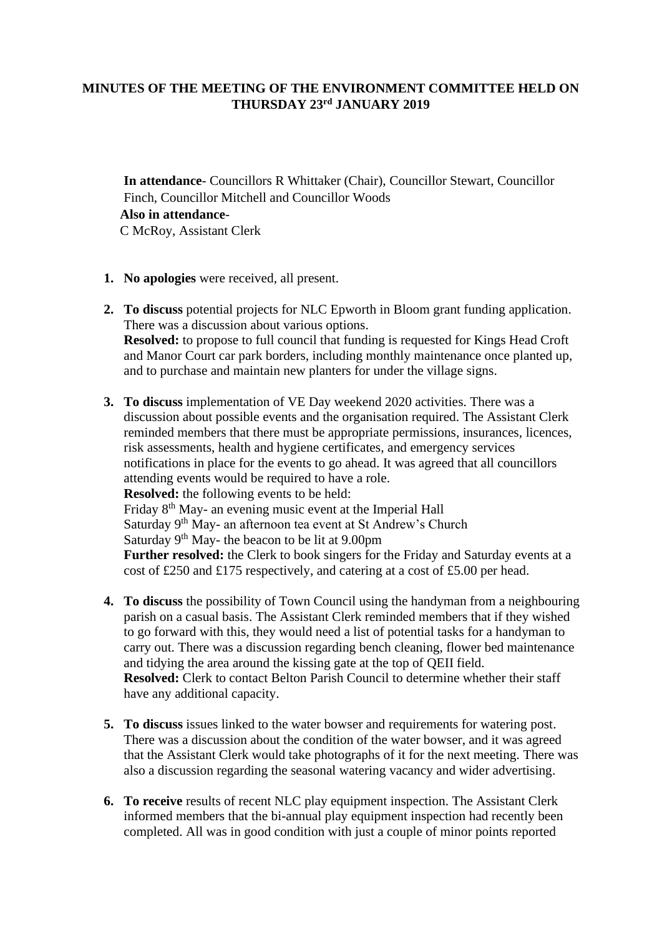## **MINUTES OF THE MEETING OF THE ENVIRONMENT COMMITTEE HELD ON THURSDAY 23 rd JANUARY 2019**

**In attendance**- Councillors R Whittaker (Chair), Councillor Stewart, Councillor Finch, Councillor Mitchell and Councillor Woods **Also in attendance**-C McRoy, Assistant Clerk

- **1. No apologies** were received, all present.
- **2. To discuss** potential projects for NLC Epworth in Bloom grant funding application. There was a discussion about various options. **Resolved:** to propose to full council that funding is requested for Kings Head Croft and Manor Court car park borders, including monthly maintenance once planted up, and to purchase and maintain new planters for under the village signs.
- **3. To discuss** implementation of VE Day weekend 2020 activities. There was a discussion about possible events and the organisation required. The Assistant Clerk reminded members that there must be appropriate permissions, insurances, licences, risk assessments, health and hygiene certificates, and emergency services notifications in place for the events to go ahead. It was agreed that all councillors attending events would be required to have a role. **Resolved:** the following events to be held: Friday 8th May- an evening music event at the Imperial Hall Saturday 9<sup>th</sup> May- an afternoon tea event at St Andrew's Church Saturday  $9<sup>th</sup>$  May- the beacon to be lit at 9.00pm **Further resolved:** the Clerk to book singers for the Friday and Saturday events at a cost of £250 and £175 respectively, and catering at a cost of £5.00 per head.
- **4. To discuss** the possibility of Town Council using the handyman from a neighbouring parish on a casual basis. The Assistant Clerk reminded members that if they wished to go forward with this, they would need a list of potential tasks for a handyman to carry out. There was a discussion regarding bench cleaning, flower bed maintenance and tidying the area around the kissing gate at the top of QEII field. **Resolved:** Clerk to contact Belton Parish Council to determine whether their staff have any additional capacity.
- **5. To discuss** issues linked to the water bowser and requirements for watering post. There was a discussion about the condition of the water bowser, and it was agreed that the Assistant Clerk would take photographs of it for the next meeting. There was also a discussion regarding the seasonal watering vacancy and wider advertising.
- **6. To receive** results of recent NLC play equipment inspection. The Assistant Clerk informed members that the bi-annual play equipment inspection had recently been completed. All was in good condition with just a couple of minor points reported